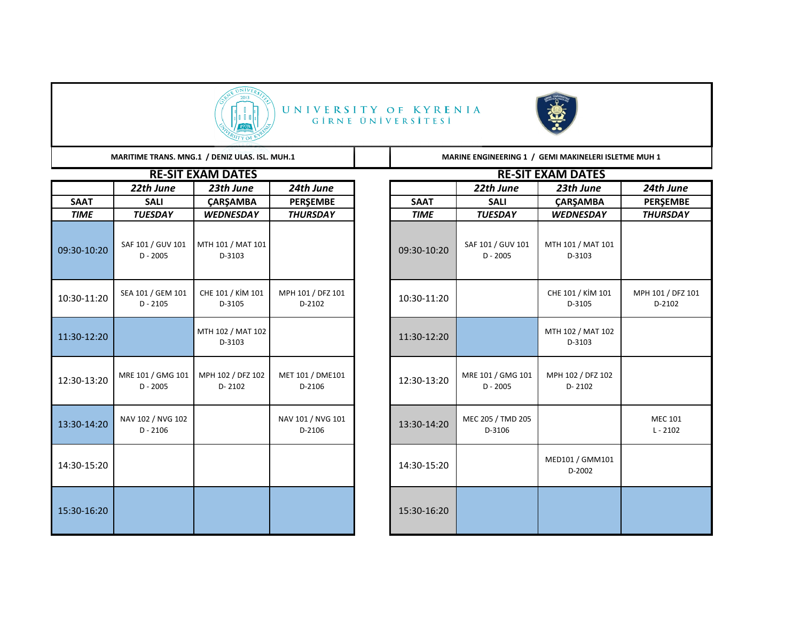

## UNIVERSITY OF KYRENIA<br>GİRNE ÜNIVERSITESI



MARITIME TRANS. MNG.1 / DENIZ ULAS. ISL. MUH.1 **MARINE ENGINEERING 1** / GEMI MAKINELERI ISLETME MUH 1

|             |                                 | <b>RE-SIT EXAM DATES</b>        |                             |             |                                 | <b>RE-SIT EXAM DATES</b>        |
|-------------|---------------------------------|---------------------------------|-----------------------------|-------------|---------------------------------|---------------------------------|
|             | 22th June                       | 23th June                       | 24th June                   |             | 22th June                       | 23th June                       |
| <b>SAAT</b> | <b>SALI</b>                     | <b>CARSAMBA</b>                 | <b>PERSEMBE</b>             | <b>SAAT</b> | <b>SALI</b>                     | <b>CARSAMBA</b>                 |
| <b>TIME</b> | <b>TUESDAY</b>                  | <b>WEDNESDAY</b>                | <b>THURSDAY</b>             | <b>TIME</b> | <b>TUESDAY</b>                  | <b>WEDNESDAY</b>                |
| 09:30-10:20 | SAF 101 / GUV 101<br>$D - 2005$ | MTH 101 / MAT 101<br>D-3103     |                             | 09:30-10:20 | SAF 101 / GUV 101<br>$D - 2005$ | MTH 101 / MAT 101<br>D-3103     |
| 10:30-11:20 | SEA 101 / GEM 101<br>$D - 2105$ | CHE 101 / KİM 101<br>D-3105     | MPH 101 / DFZ 101<br>D-2102 | 10:30-11:20 |                                 | CHE 101 / KİM 101<br>D-3105     |
| 11:30-12:20 |                                 | MTH 102 / MAT 102<br>D-3103     |                             | 11:30-12:20 |                                 | MTH 102 / MAT 102<br>D-3103     |
| 12:30-13:20 | MRE 101 / GMG 101<br>$D - 2005$ | MPH 102 / DFZ 102<br>$D - 2102$ | MET 101 / DME101<br>D-2106  | 12:30-13:20 | MRE 101 / GMG 101<br>$D - 2005$ | MPH 102 / DFZ 102<br>$D - 2102$ |
| 13:30-14:20 | NAV 102 / NVG 102<br>$D - 2106$ |                                 | NAV 101 / NVG 101<br>D-2106 | 13:30-14:20 | MEC 205 / TMD 205<br>D-3106     |                                 |
| 14:30-15:20 |                                 |                                 |                             | 14:30-15:20 |                                 | MED101 / GMM101<br>D-2002       |
| 15:30-16:20 |                                 |                                 |                             | 15:30-16:20 |                                 |                                 |

|             |                                 | NE-JII EAHIVI DHIEJ             |                             |             |                                 | <b>NE-JII EARIVI DATEJ</b>      |                              |
|-------------|---------------------------------|---------------------------------|-----------------------------|-------------|---------------------------------|---------------------------------|------------------------------|
|             | 22th June                       | 23th June                       | 24th June                   |             | 22th June                       | 23th June                       | 24th June                    |
| SAAT        | <b>SALI</b>                     | <b>ÇARŞAMBA</b>                 | <b>PERŞEMBE</b>             | <b>SAAT</b> | <b>SALI</b>                     | ÇARŞAMBA                        | <b>PERŞEMBE</b>              |
| <b>TIME</b> | <b>TUESDAY</b>                  | <b>WEDNESDAY</b>                | <b>THURSDAY</b>             | <b>TIME</b> | <b>TUESDAY</b>                  | <b>WEDNESDAY</b>                | <b>THURSDAY</b>              |
| 30-10:20    | SAF 101 / GUV 101<br>$D - 2005$ | MTH 101 / MAT 101<br>D-3103     |                             | 09:30-10:20 | SAF 101 / GUV 101<br>$D - 2005$ | MTH 101 / MAT 101<br>D-3103     |                              |
| 30-11:20    | SEA 101 / GEM 101<br>$D - 2105$ | CHE 101 / KİM 101<br>D-3105     | MPH 101 / DFZ 101<br>D-2102 | 10:30-11:20 |                                 | CHE 101 / KİM 101<br>D-3105     | MPH 101 / DFZ 101<br>D-2102  |
| 30-12:20    |                                 | MTH 102 / MAT 102<br>D-3103     |                             | 11:30-12:20 |                                 | MTH 102 / MAT 102<br>D-3103     |                              |
| 30-13:20    | MRE 101 / GMG 101<br>$D - 2005$ | MPH 102 / DFZ 102<br>$D - 2102$ | MET 101 / DME101<br>D-2106  | 12:30-13:20 | MRE 101 / GMG 101<br>$D - 2005$ | MPH 102 / DFZ 102<br>$D - 2102$ |                              |
| 30-14:20    | NAV 102 / NVG 102<br>$D - 2106$ |                                 | NAV 101 / NVG 101<br>D-2106 | 13:30-14:20 | MEC 205 / TMD 205<br>D-3106     |                                 | <b>MEC 101</b><br>$L - 2102$ |
| 30-15:20    |                                 |                                 |                             | 14:30-15:20 |                                 | MED101 / GMM101<br>D-2002       |                              |
| 30-16:20    |                                 |                                 |                             | 15:30-16:20 |                                 |                                 |                              |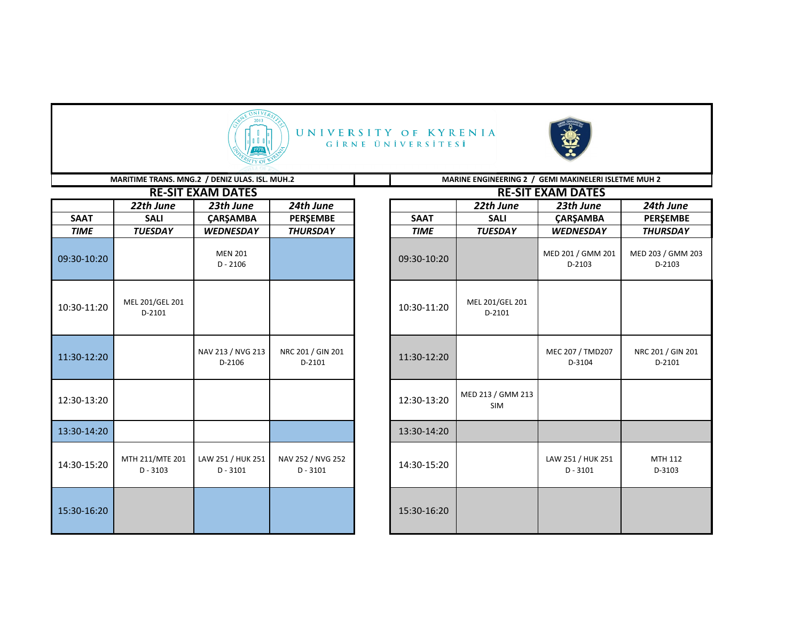

## UNIVERSITY OF KYRENIA GİRNE ÜNİVERSİTESİ



|             | MARITIME TRANS. MNG.2 / DENIZ ULAS. ISL. MUH.2 |                                 |                                 | MARINE ENGINEERING 2 / GEMI MAKINELERI ISLETME MUH 2 |                                 |                                 |                             |  |
|-------------|------------------------------------------------|---------------------------------|---------------------------------|------------------------------------------------------|---------------------------------|---------------------------------|-----------------------------|--|
|             |                                                | <b>RE-SIT EXAM DATES</b>        |                                 |                                                      |                                 | <b>RE-SIT EXAM DATES</b>        |                             |  |
|             | 22th June                                      | 23th June                       | 24th June                       |                                                      | 22th June                       | 23th June                       | 24th June                   |  |
| <b>SAAT</b> | <b>SALI</b>                                    | <b>ÇARŞAMBA</b>                 | <b>PERŞEMBE</b>                 | <b>SAAT</b>                                          | <b>SALI</b>                     | <b>ÇARŞAMBA</b>                 | <b>PERSEMBE</b>             |  |
| <b>TIME</b> | <b>TUESDAY</b>                                 | <b>WEDNESDAY</b>                | <b>THURSDAY</b>                 | <b>TIME</b>                                          | <b>TUESDAY</b>                  | <b>WEDNESDAY</b>                | <b>THURSDAY</b>             |  |
| 09:30-10:20 |                                                | <b>MEN 201</b><br>$D - 2106$    |                                 | 09:30-10:20                                          |                                 | MED 201 / GMM 201<br>D-2103     | MED 203 / GMM 203<br>D-2103 |  |
| 10:30-11:20 | MEL 201/GEL 201<br>D-2101                      |                                 |                                 | 10:30-11:20                                          | MEL 201/GEL 201<br>D-2101       |                                 |                             |  |
| 11:30-12:20 |                                                | NAV 213 / NVG 213<br>D-2106     | NRC 201 / GIN 201<br>D-2101     | 11:30-12:20                                          |                                 | MEC 207 / TMD207<br>D-3104      | NRC 201 / GIN 201<br>D-2101 |  |
| 12:30-13:20 |                                                |                                 |                                 | 12:30-13:20                                          | MED 213 / GMM 213<br><b>SIM</b> |                                 |                             |  |
| 13:30-14:20 |                                                |                                 |                                 | 13:30-14:20                                          |                                 |                                 |                             |  |
| 14:30-15:20 | MTH 211/MTE 201<br>$D - 3103$                  | LAW 251 / HUK 251<br>$D - 3101$ | NAV 252 / NVG 252<br>$D - 3101$ | 14:30-15:20                                          |                                 | LAW 251 / HUK 251<br>$D - 3101$ | MTH 112<br>D-3103           |  |
| 15:30-16:20 |                                                |                                 |                                 | 15:30-16:20                                          |                                 |                                 |                             |  |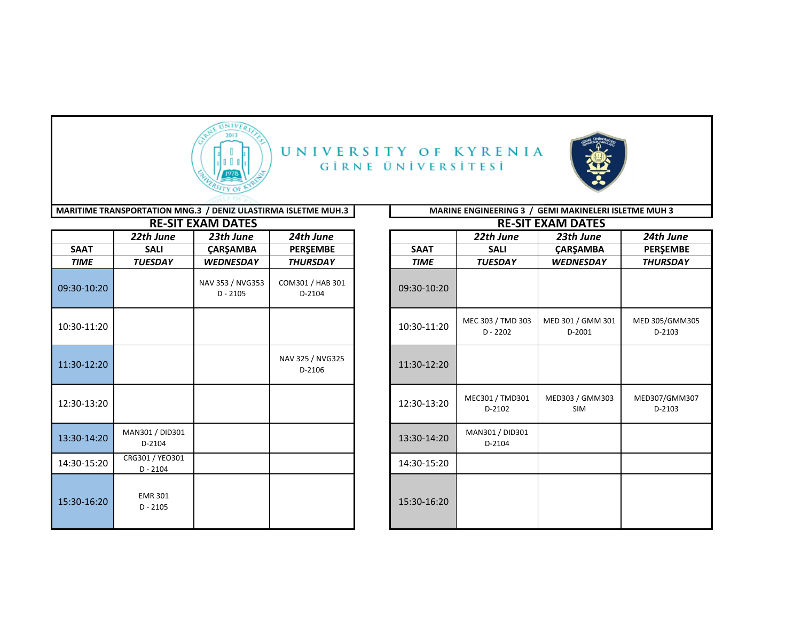

UNIVERSITY OF KYRENIA GİRNE ÜNİVERSİTESİ



| MARITIME TRANSPORTATION MNG.3 / DENIZ ULASTIRMA ISLETME MUH.3 |
|---------------------------------------------------------------|
|---------------------------------------------------------------|

|             |                               | <b>RE-SIT EXAM DATES</b>       |                            |             | <b>RE-SIT</b>                   |
|-------------|-------------------------------|--------------------------------|----------------------------|-------------|---------------------------------|
|             | 22th June                     | 23th June                      | 24th June                  |             | 22th June                       |
| <b>SAAT</b> | <b>SALI</b>                   | <b>ÇARŞAMBA</b>                | PERŞEMBE                   | <b>SAAT</b> | <b>SALI</b>                     |
| <b>TIME</b> | <b>TUESDAY</b>                | <b>WEDNESDAY</b>               | <b>THURSDAY</b>            | <b>TIME</b> | <b>TUESDAY</b>                  |
| 09:30-10:20 |                               | NAV 353 / NVG353<br>$D - 2105$ | COM301 / HAB 301<br>D-2104 | 09:30-10:20 |                                 |
| 10:30-11:20 |                               |                                |                            | 10:30-11:20 | MEC 303 / TMD 303<br>$D - 2202$ |
| 11:30-12:20 |                               |                                | NAV 325 / NVG325<br>D-2106 | 11:30-12:20 |                                 |
| 12:30-13:20 |                               |                                |                            | 12:30-13:20 | MEC301 / TMD301<br>D-2102       |
| 13:30-14:20 | MAN301 / DID301<br>D-2104     |                                |                            | 13:30-14:20 | MAN301 / DID301<br>D-2104       |
| 14:30-15:20 | CRG301 / YEO301<br>$D - 2104$ |                                |                            | 14:30-15:20 |                                 |
| 15:30-16:20 | <b>EMR 301</b><br>$D - 2105$  |                                |                            | 15:30-16:20 |                                 |

**RE-SIT EXAM DATES RE-SIT EXAM DATES MARINE ENGINEERING 3 / GEMI MAKINELERI ISLETME MUH 3** 

|             |                               | <b>KE-SH EAAIVI DATES</b>      |                            |             |                                 | <b>KE-SH EAAIVI DATES</b>     |                          |
|-------------|-------------------------------|--------------------------------|----------------------------|-------------|---------------------------------|-------------------------------|--------------------------|
|             | 22th June                     | 23th June                      | 24th June                  |             | 22th June                       | 23th June                     | 24th June                |
| SAAT        | <b>SALI</b>                   | <b>ÇARŞAMBA</b>                | <b>PERŞEMBE</b>            | <b>SAAT</b> | <b>SALI</b>                     | ÇARŞAMBA                      | <b>PERŞEMBE</b>          |
| <b>TIME</b> | <b>TUESDAY</b>                | <b>WEDNESDAY</b>               | <b>THURSDAY</b>            | <b>TIME</b> | <b>TUESDAY</b>                  | <b>WEDNESDAY</b>              | <b>THURSDAY</b>          |
| 30-10:20    |                               | NAV 353 / NVG353<br>$D - 2105$ | COM301 / HAB 301<br>D-2104 | 09:30-10:20 |                                 |                               |                          |
| 30-11:20    |                               |                                |                            | 10:30-11:20 | MEC 303 / TMD 303<br>$D - 2202$ | MED 301 / GMM 301<br>D-2001   | MED 305/GMM305<br>D-2103 |
| 30-12:20    |                               |                                | NAV 325 / NVG325<br>D-2106 | 11:30-12:20 |                                 |                               |                          |
| 30-13:20    |                               |                                |                            | 12:30-13:20 | MEC301 / TMD301<br>D-2102       | MED303 / GMM303<br><b>SIM</b> | MED307/GMM307<br>D-2103  |
| 30-14:20    | MAN301 / DID301<br>D-2104     |                                |                            | 13:30-14:20 | MAN301 / DID301<br>D-2104       |                               |                          |
| 30-15:20    | CRG301 / YEO301<br>$D - 2104$ |                                |                            | 14:30-15:20 |                                 |                               |                          |
| 30-16:20    | <b>EMR 301</b><br>$D - 2105$  |                                |                            | 15:30-16:20 |                                 |                               |                          |